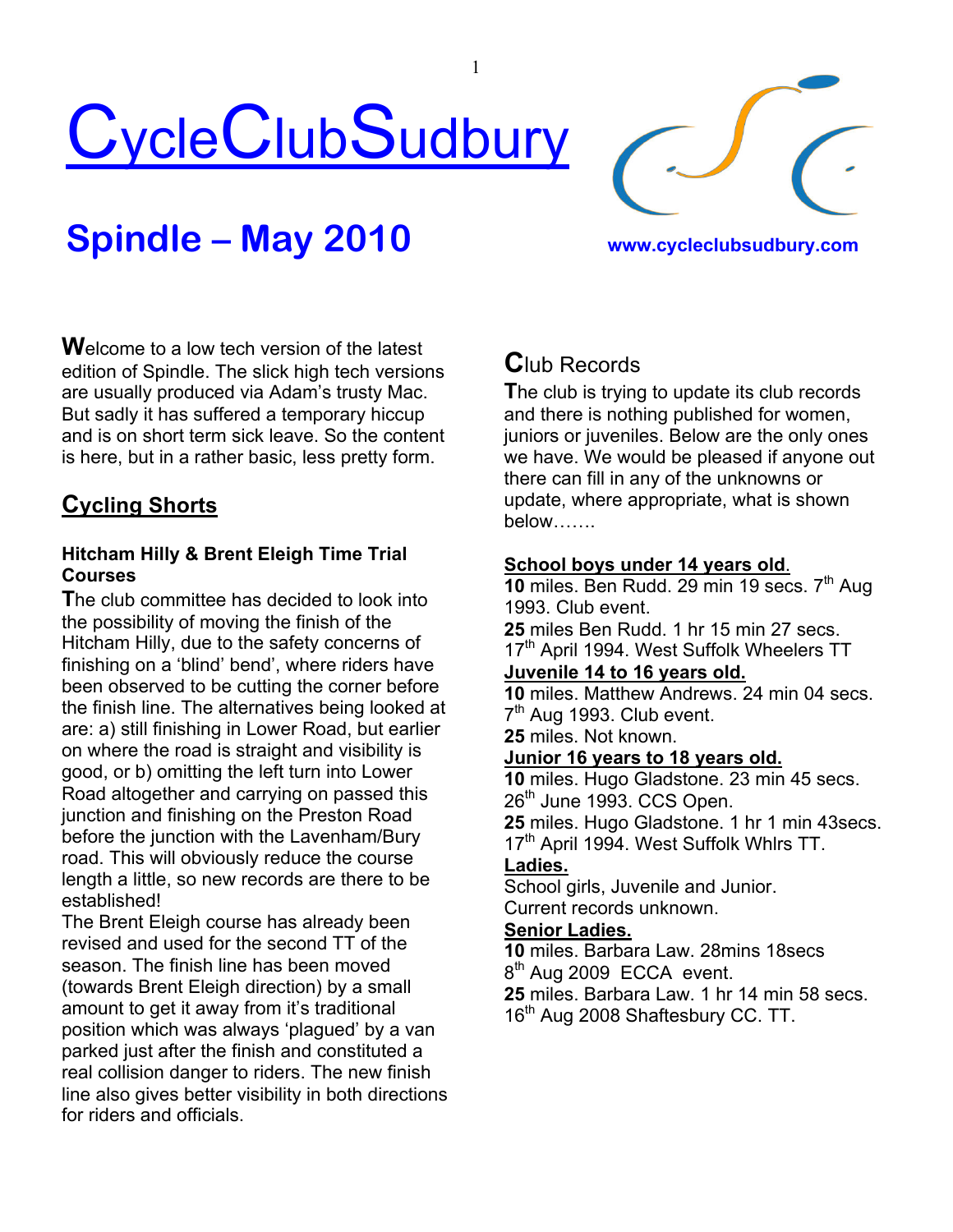



# **Spindle – May 2010 www.cycleclubsudbury.com**

**W**elcome to a low tech version of the latest edition of Spindle. The slick high tech versions are usually produced via Adam's trusty Mac. But sadly it has suffered a temporary hiccup and is on short term sick leave. So the content is here, but in a rather basic, less pretty form.

## **Cycling Shorts**

#### **Hitcham Hilly & Brent Eleigh Time Trial Courses**

**T**he club committee has decided to look into the possibility of moving the finish of the Hitcham Hilly, due to the safety concerns of finishing on a 'blind' bend', where riders have been observed to be cutting the corner before the finish line. The alternatives being looked at are: a) still finishing in Lower Road, but earlier on where the road is straight and visibility is good, or b) omitting the left turn into Lower Road altogether and carrying on passed this junction and finishing on the Preston Road before the junction with the Lavenham/Bury road. This will obviously reduce the course length a little, so new records are there to be established!

The Brent Eleigh course has already been revised and used for the second TT of the season. The finish line has been moved (towards Brent Eleigh direction) by a small amount to get it away from it's traditional position which was always 'plagued' by a van parked just after the finish and constituted a real collision danger to riders. The new finish line also gives better visibility in both directions for riders and officials.

## **C**lub Records

1

**T**he club is trying to update its club records and there is nothing published for women, juniors or juveniles. Below are the only ones we have. We would be pleased if anyone out there can fill in any of the unknowns or update, where appropriate, what is shown below…….

#### **School boys under 14 years old**.

**10** miles. Ben Rudd. 29 min 19 secs. 7<sup>th</sup> Aug 1993. Club event.

**25** miles Ben Rudd. 1 hr 15 min 27 secs.

17<sup>th</sup> April 1994. West Suffolk Wheelers TT

#### **Juvenile 14 to 16 years old.**

**10** miles. Matthew Andrews. 24 min 04 secs. 7<sup>th</sup> Aug 1993. Club event.

**25** miles. Not known.

#### **Junior 16 years to 18 years old.**

 miles. Hugo Gladstone. 23 min 45 secs. th June 1993. CCS Open. miles. Hugo Gladstone. 1 hr 1 min 43secs. 17<sup>th</sup> April 1994. West Suffolk Whlrs TT.

#### **Ladies.**

School girls, Juvenile and Junior. Current records unknown.

#### **Senior Ladies.**

**10** miles. Barbara Law. 28mins 18secs 8<sup>th</sup> Aug 2009 ECCA event.

**25** miles. Barbara Law. 1 hr 14 min 58 secs. 16<sup>th</sup> Aug 2008 Shaftesbury CC. TT.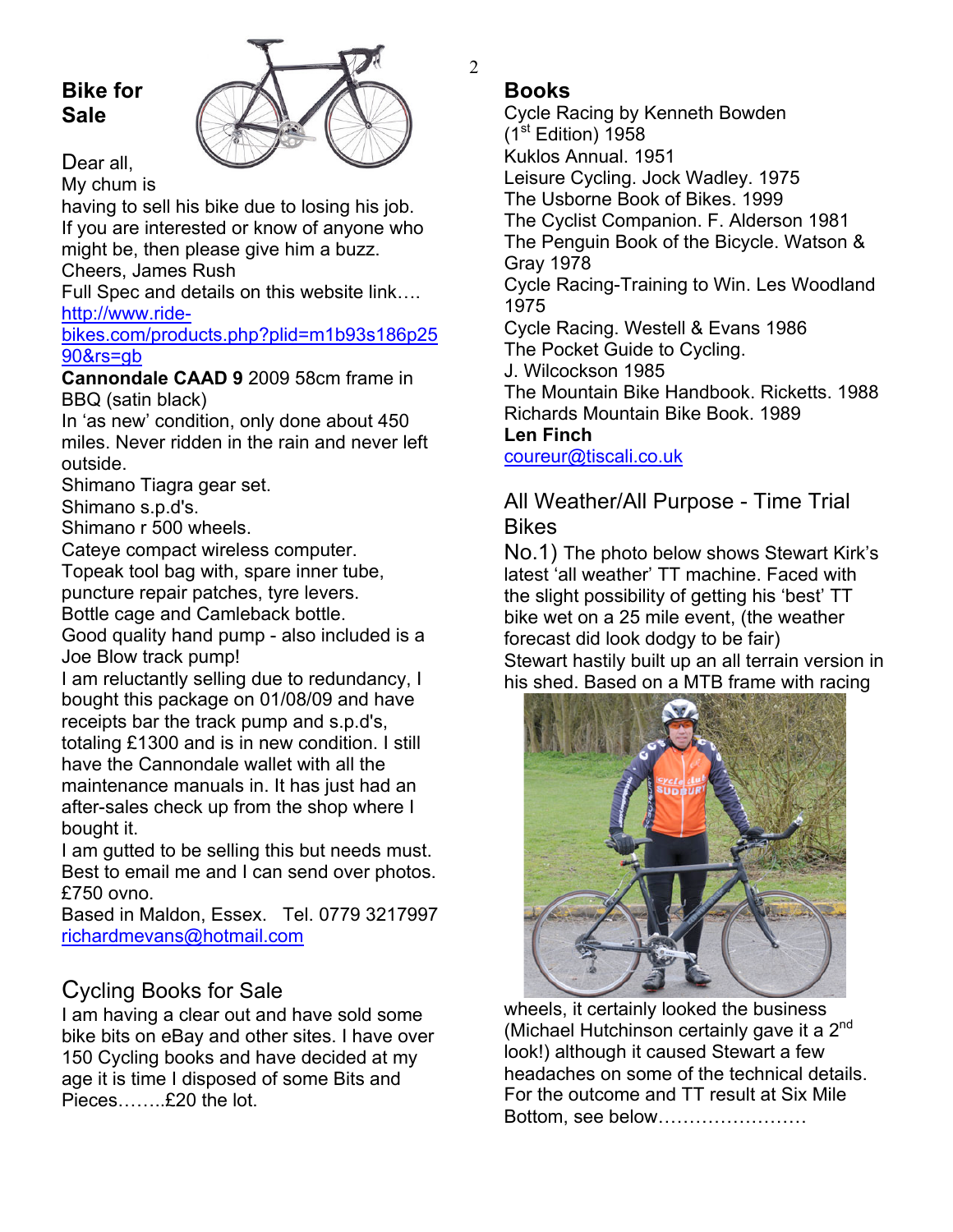## **Bike for Sale**



Dear all.

My chum is

having to sell his bike due to losing his job. If you are interested or know of anyone who might be, then please give him a buzz.

Cheers, James Rush

Full Spec and details on this website link…. http://www.ride-

#### bikes.com/products.php?plid=m1b93s186p25 90&rs=gb

**Cannondale CAAD 9** 2009 58cm frame in BBQ (satin black)

In 'as new' condition, only done about 450 miles. Never ridden in the rain and never left outside.

Shimano Tiagra gear set.

Shimano s.p.d's.

Shimano r 500 wheels.

Cateye compact wireless computer.

Topeak tool bag with, spare inner tube,

puncture repair patches, tyre levers.

Bottle cage and Camleback bottle.

Good quality hand pump - also included is a Joe Blow track pump!

I am reluctantly selling due to redundancy, I bought this package on 01/08/09 and have receipts bar the track pump and s.p.d's, totaling £1300 and is in new condition. I still have the Cannondale wallet with all the maintenance manuals in. It has just had an after-sales check up from the shop where I bought it.

I am gutted to be selling this but needs must. Best to email me and I can send over photos. £750 ovno.

Based in Maldon, Essex. Tel. 0779 3217997 richardmevans@hotmail.com

## Cycling Books for Sale

I am having a clear out and have sold some bike bits on eBay and other sites. I have over 150 Cycling books and have decided at my age it is time I disposed of some Bits and Pieces……..£20 the lot.

## **Books**

Cycle Racing by Kenneth Bowden  $(1<sup>st</sup> Edition)$  1958 Kuklos Annual. 1951 Leisure Cycling. Jock Wadley. 1975 The Usborne Book of Bikes. 1999 The Cyclist Companion. F. Alderson 1981 The Penguin Book of the Bicycle. Watson & Gray 1978 Cycle Racing-Training to Win. Les Woodland 1975 Cycle Racing. Westell & Evans 1986 The Pocket Guide to Cycling. J. Wilcockson 1985 The Mountain Bike Handbook. Ricketts. 1988 Richards Mountain Bike Book. 1989 **Len Finch** 

coureur@tiscali.co.uk

## All Weather/All Purpose - Time Trial Bikes

No.1) The photo below shows Stewart Kirk's latest 'all weather' TT machine. Faced with the slight possibility of getting his 'best' TT bike wet on a 25 mile event, (the weather forecast did look dodgy to be fair) Stewart hastily built up an all terrain version in his shed. Based on a MTB frame with racing



wheels, it certainly looked the business (Michael Hutchinson certainly gave it a  $2<sup>nd</sup>$ look!) although it caused Stewart a few headaches on some of the technical details. For the outcome and TT result at Six Mile Bottom, see below……………………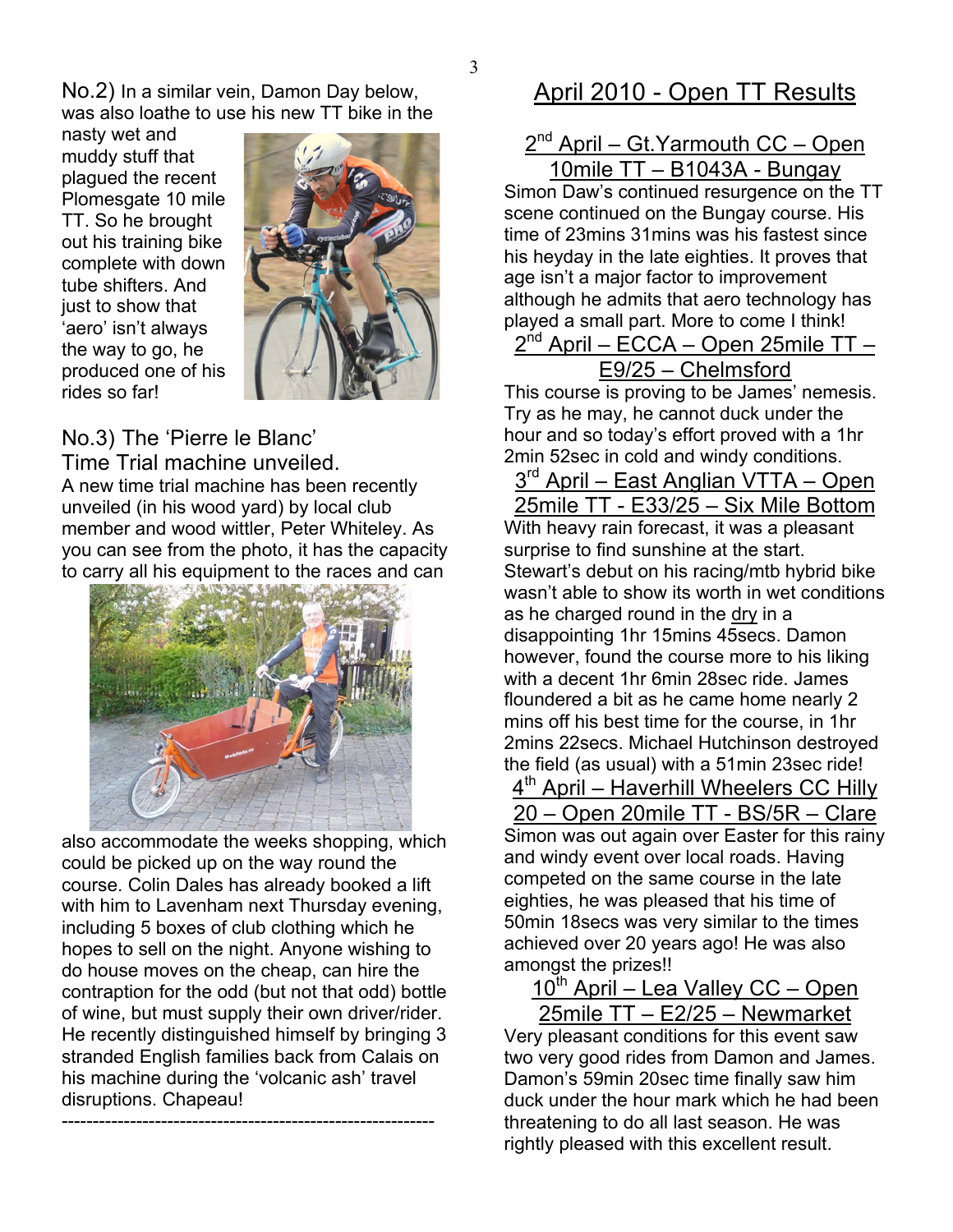3

No.2) In a similar vein, Damon Day below, was also loathe to use his new TT bike in the

nasty wet and muddy stuff that plagued the recent Plomesgate 10 mile TT. So he brought out his training bike complete with down tube shifters. And just to show that 'aero' isn't always the way to go, he produced one of his rides so far!



No.3) The 'Pierre le Blanc'

Time Trial machine unveiled. A new time trial machine has been recently unveiled (in his wood yard) by local club member and wood wittler, Peter Whiteley. As you can see from the photo, it has the capacity to carry all his equipment to the races and can



also accommodate the weeks shopping, which could be picked up on the way round the course. Colin Dales has already booked a lift with him to Lavenham next Thursday evening, including 5 boxes of club clothing which he hopes to sell on the night. Anyone wishing to do house moves on the cheap, can hire the contraption for the odd (but not that odd) bottle of wine, but must supply their own driver/rider. He recently distinguished himself by bringing 3 stranded English families back from Calais on his machine during the 'volcanic ash' travel disruptions. Chapeau!

------------------------------------------------------------

## April 2010 - Open TT Results

#### $2^{nd}$  April – Gt. Yarmouth  $CC - Open$ 10mile TT – B1043A - Bungay

Simon Daw's continued resurgence on the TT scene continued on the Bungay course. His time of 23mins 31mins was his fastest since his heyday in the late eighties. It proves that age isn't a major factor to improvement although he admits that aero technology has played a small part. More to come I think!

## $2^{nd}$  April – ECCA – Open 25mile TT – E9/25 – Chelmsford

This course is proving to be James' nemesis. Try as he may, he cannot duck under the hour and so today's effort proved with a 1hr 2min 52sec in cold and windy conditions.

3<sup>rd</sup> April – East Anglian VTTA – Open 25mile TT - E33/25 – Six Mile Bottom With heavy rain forecast, it was a pleasant surprise to find sunshine at the start. Stewart's debut on his racing/mtb hybrid bike wasn't able to show its worth in wet conditions as he charged round in the dry in a disappointing 1hr 15mins 45secs. Damon however, found the course more to his liking with a decent 1hr 6min 28sec ride. James floundered a bit as he came home nearly 2 mins off his best time for the course, in 1hr 2mins 22secs. Michael Hutchinson destroyed the field (as usual) with a 51min 23sec ride!

4<sup>th</sup> April – Haverhill Wheelers CC Hilly 20 – Open 20mile TT - BS/5R – Clare Simon was out again over Easter for this rainy and windy event over local roads. Having competed on the same course in the late eighties, he was pleased that his time of 50min 18secs was very similar to the times achieved over 20 years ago! He was also amongst the prizes!!

10<sup>th</sup> April – Lea Valley CC – Open 25mile TT – E2/25 – Newmarket

Very pleasant conditions for this event saw two very good rides from Damon and James. Damon's 59min 20sec time finally saw him duck under the hour mark which he had been threatening to do all last season. He was rightly pleased with this excellent result.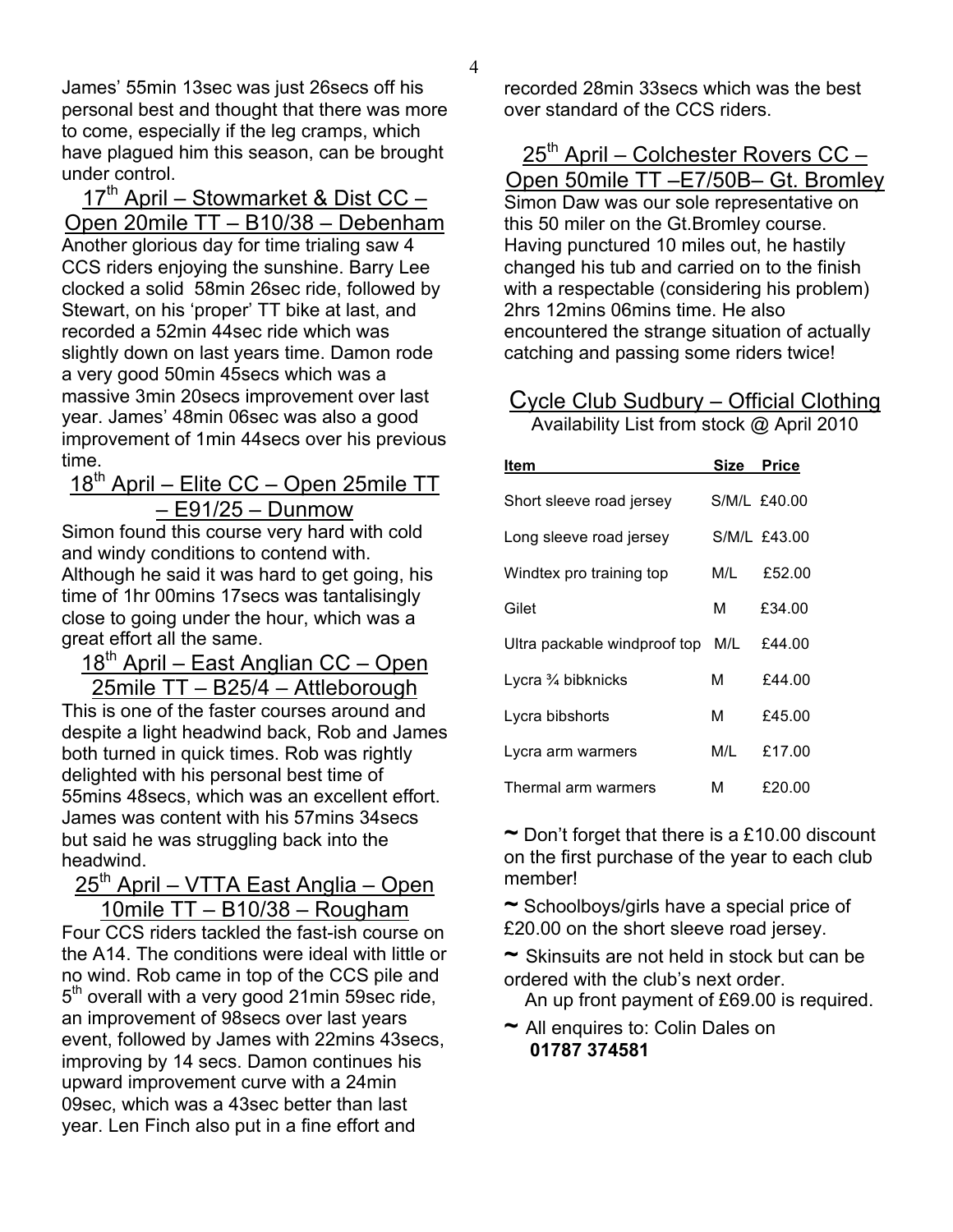James' 55min 13sec was just 26secs off his personal best and thought that there was more to come, especially if the leg cramps, which have plagued him this season, can be brought under control.

17<sup>th</sup> April - Stowmarket & Dist CC -Open 20mile TT – B10/38 – Debenham Another glorious day for time trialing saw 4 CCS riders enjoying the sunshine. Barry Lee clocked a solid 58min 26sec ride, followed by Stewart, on his 'proper' TT bike at last, and recorded a 52min 44sec ride which was slightly down on last years time. Damon rode a very good 50min 45secs which was a massive 3min 20secs improvement over last year. James' 48min 06sec was also a good improvement of 1min 44secs over his previous time.

18<sup>th</sup> April – Elite CC – Open 25mile TT – E91/25 – Dunmow

Simon found this course very hard with cold and windy conditions to contend with. Although he said it was hard to get going, his time of 1hr 00mins 17secs was tantalisingly close to going under the hour, which was a great effort all the same.

18<sup>th</sup> April – East Anglian CC – Open 25mile TT – B25/4 – Attleborough

This is one of the faster courses around and despite a light headwind back, Rob and James both turned in quick times. Rob was rightly delighted with his personal best time of 55mins 48secs, which was an excellent effort. James was content with his 57mins 34secs but said he was struggling back into the headwind.

## 25<sup>th</sup> April – VTTA East Anglia – Open 10mile TT – B10/38 – Rougham

Four CCS riders tackled the fast-ish course on the A14. The conditions were ideal with little or no wind. Rob came in top of the CCS pile and  $5<sup>th</sup>$  overall with a very good 21 min 59 sec ride, an improvement of 98secs over last years event, followed by James with 22mins 43secs, improving by 14 secs. Damon continues his upward improvement curve with a 24min 09sec, which was a 43sec better than last year. Len Finch also put in a fine effort and

recorded 28min 33secs which was the best over standard of the CCS riders.

 $25<sup>th</sup>$  April – Colchester Rovers CC – Open 50mile TT –E7/50B– Gt. Bromley Simon Daw was our sole representative on this 50 miler on the Gt.Bromley course. Having punctured 10 miles out, he hastily changed his tub and carried on to the finish with a respectable (considering his problem) 2hrs 12mins 06mins time. He also encountered the strange situation of actually catching and passing some riders twice!

## Cycle Club Sudbury – Official Clothing

Availability List from stock @ April 2010

| ltem                          | Size | Price        |
|-------------------------------|------|--------------|
| Short sleeve road jersey      |      | S/M/L £40.00 |
| Long sleeve road jersey       |      | S/M/L £43.00 |
| Windtex pro training top      | M/L. | £52.00       |
| Gilet                         | м    | £34.00       |
| Ultra packable windproof top  | M/L  | £44.00       |
| Lycra $\frac{3}{4}$ bibknicks | м    | £44.00       |
| Lycra bibshorts               | м    | £45.00       |
| Lycra arm warmers             | M/L  | £17.00       |
| Thermal arm warmers           | м    | £20.00       |

**~** Don't forget that there is a £10.00 discount on the first purchase of the year to each club member!

**~** Schoolboys/girls have a special price of £20.00 on the short sleeve road jersey.

**~** Skinsuits are not held in stock but can be ordered with the club's next order.

An up front payment of £69.00 is required.

**~** All enquires to: Colin Dales on **01787 374581**